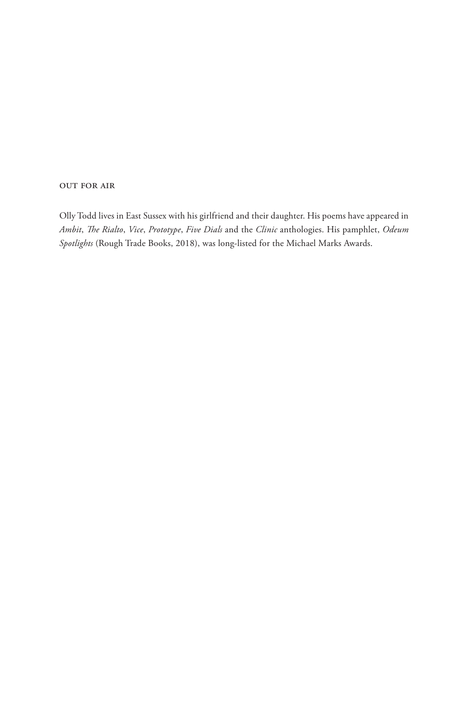#### out for air

Olly Todd lives in East Sussex with his girlfriend and their daughter. His poems have appeared in *Ambit*, *The Rialto*, *Vice*, *Prototype*, *Five Dials* and the *Clinic* anthologies. His pamphlet, *Odeum Spotlights* (Rough Trade Books, 2018), was long-listed for the Michael Marks Awards.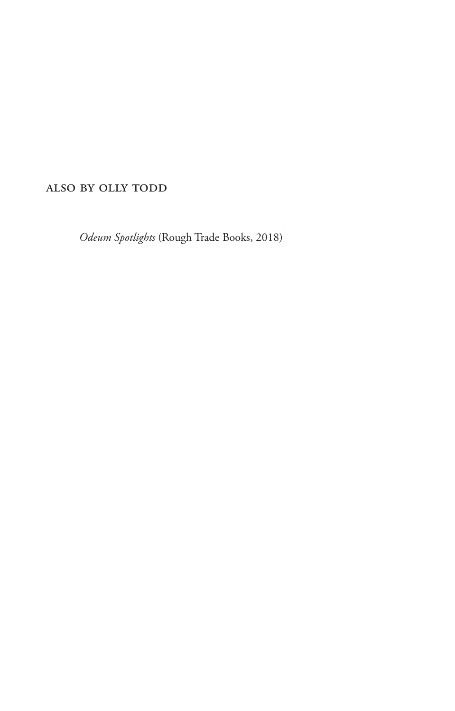## also by olly todd

*Odeum Spotlights* (Rough Trade Books, 2018)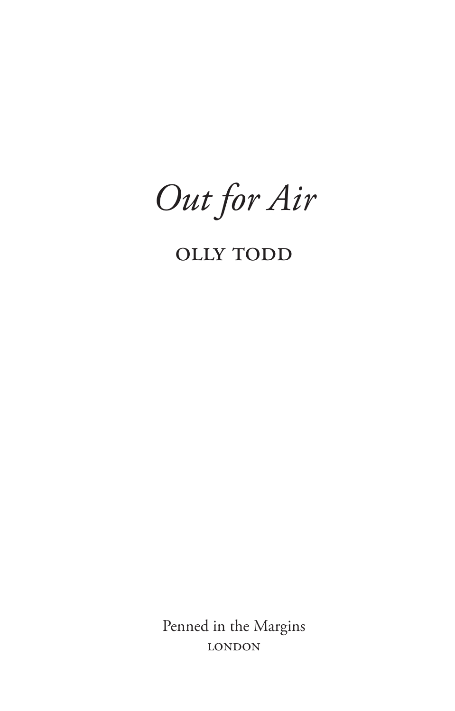Out for Air

## **OLLY TODD**

Penned in the Margins **LONDON**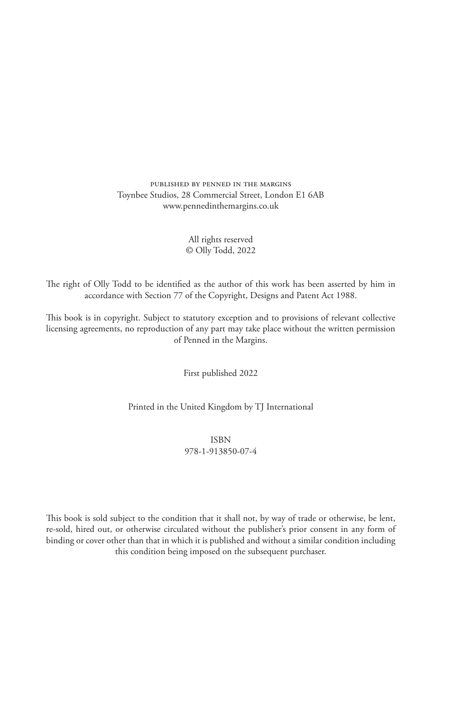published by penned in the margins Toynbee Studios, 28 Commercial Street, London E1 6AB www.pennedinthemargins.co.uk

#### All rights reserved © Olly Todd, 2022

The right of Olly Todd to be identified as the author of this work has been asserted by him in accordance with Section 77 of the Copyright, Designs and Patent Act 1988.

This book is in copyright. Subject to statutory exception and to provisions of relevant collective licensing agreements, no reproduction of any part may take place without the written permission of Penned in the Margins.

First published 2022

Printed in the United Kingdom by TJ International

ISBN 978-1-913850-07-4

This book is sold subject to the condition that it shall not, by way of trade or otherwise, be lent, re-sold, hired out, or otherwise circulated without the publisher's prior consent in any form of binding or cover other than that in which it is published and without a similar condition including this condition being imposed on the subsequent purchaser.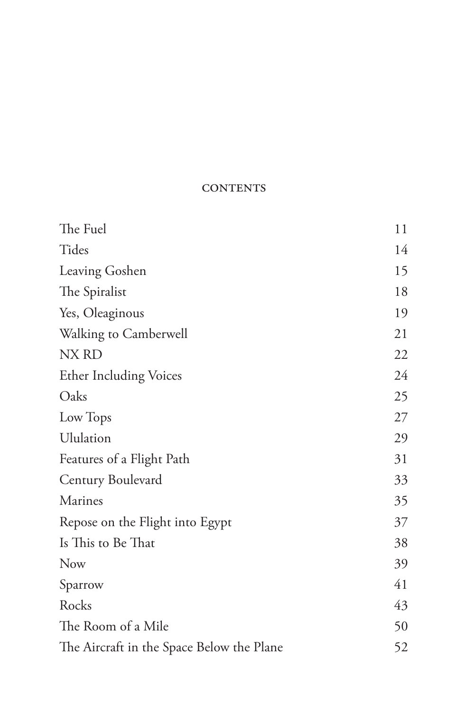### **CONTENTS**

| The Fuel                                  | 11 |
|-------------------------------------------|----|
| Tides                                     | 14 |
| Leaving Goshen                            | 15 |
| The Spiralist                             | 18 |
| Yes, Oleaginous                           | 19 |
| Walking to Camberwell                     | 21 |
| NX RD                                     | 22 |
| <b>Ether Including Voices</b>             | 24 |
| Oaks                                      | 25 |
| Low Tops                                  | 27 |
| Ululation                                 | 29 |
| Features of a Flight Path                 | 31 |
| Century Boulevard                         | 33 |
| Marines                                   | 35 |
| Repose on the Flight into Egypt           | 37 |
| Is This to Be That                        | 38 |
| <b>Now</b>                                | 39 |
| Sparrow                                   | 41 |
| Rocks                                     | 43 |
| The Room of a Mile                        | 50 |
| The Aircraft in the Space Below the Plane | 52 |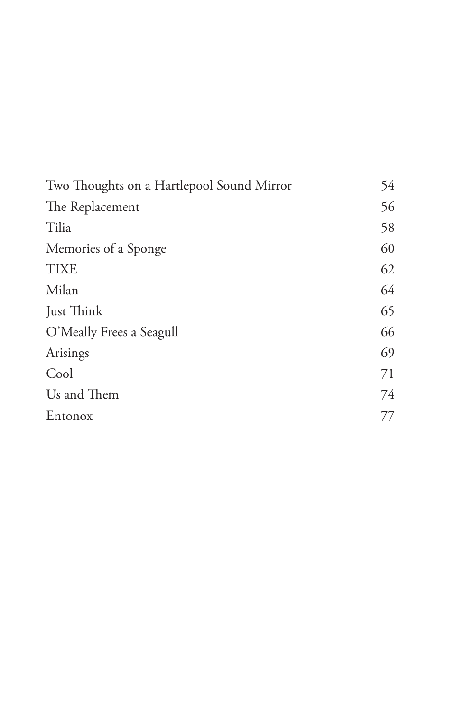| Two Thoughts on a Hartlepool Sound Mirror | 54 |
|-------------------------------------------|----|
| The Replacement                           | 56 |
| Tilia                                     | 58 |
| Memories of a Sponge                      | 60 |
| <b>TIXE</b>                               | 62 |
| Milan                                     | 64 |
| Just Think                                | 65 |
| O'Meally Frees a Seagull                  | 66 |
| Arisings                                  | 69 |
| Cool                                      | 71 |
| Us and Them                               | 74 |
| Entonox                                   | 77 |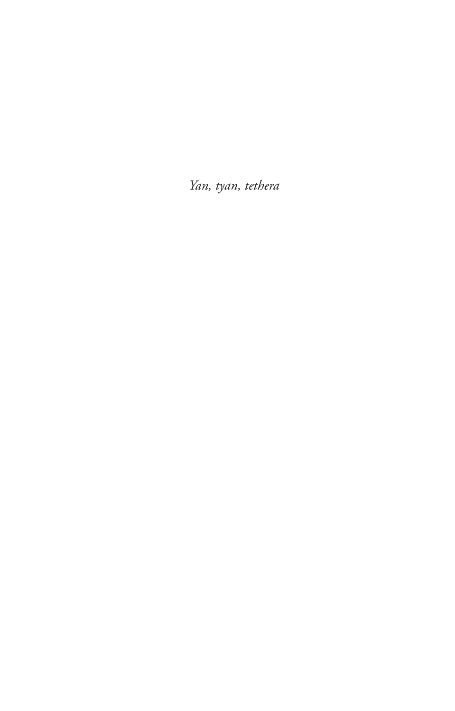Yan, tyan, tethera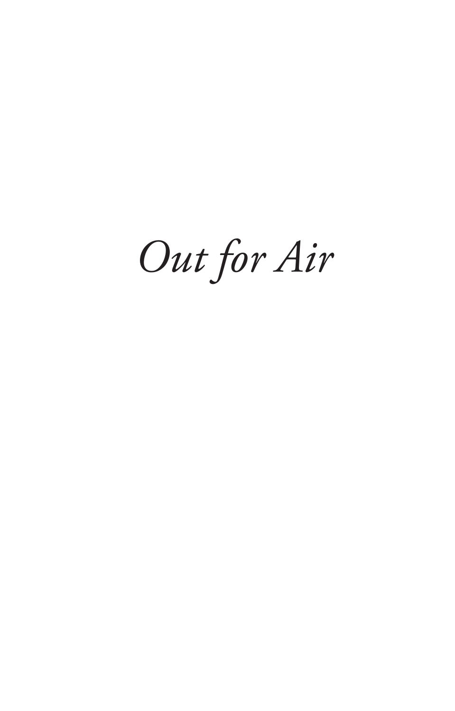*Out for Air*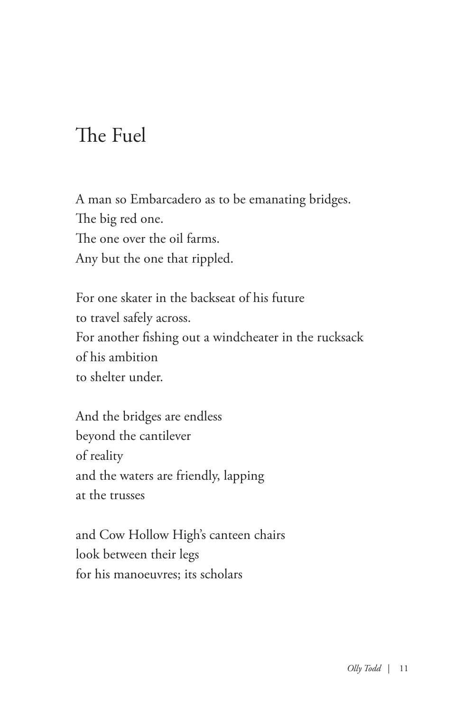# The Fuel

A man so Embarcadero as to be emanating bridges. The big red one. The one over the oil farms. Any but the one that rippled.

For one skater in the backseat of his future to travel safely across. For another fishing out a windcheater in the rucksack of his ambition to shelter under.

And the bridges are endless beyond the cantilever of reality and the waters are friendly, lapping at the trusses

and Cow Hollow High's canteen chairs look between their legs for his manoeuvres; its scholars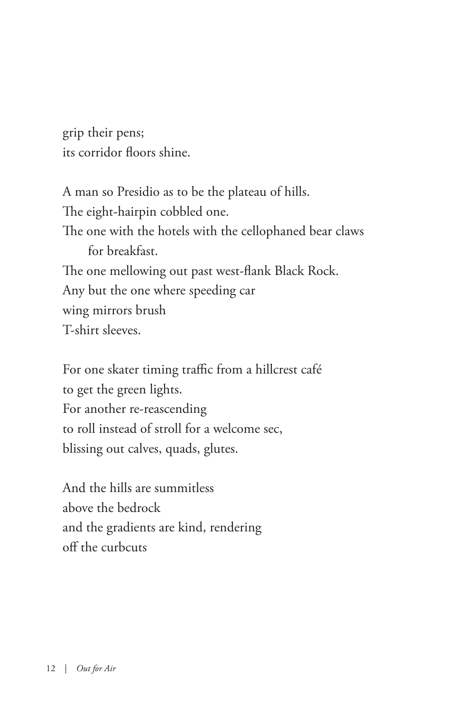grip their pens; its corridor floors shine.

A man so Presidio as to be the plateau of hills. The eight-hairpin cobbled one. The one with the hotels with the cellophaned bear claws for breakfast. The one mellowing out past west-flank Black Rock. Any but the one where speeding car wing mirrors brush T-shirt sleeves.

For one skater timing traffic from a hillcrest café to get the green lights. For another re-reascending to roll instead of stroll for a welcome sec, blissing out calves, quads, glutes.

And the hills are summitless above the bedrock and the gradients are kind, rendering off the curbcuts